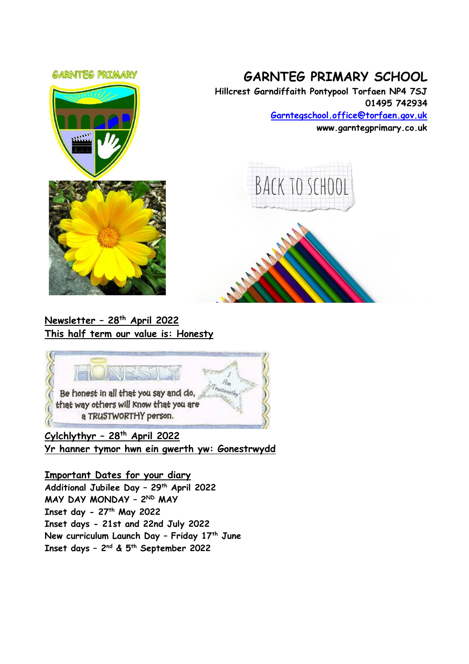#### **GARNITEG PRIMARY**



# **GARNTEG PRIMARY SCHOOL**

**Hillcrest Garndiffaith Pontypool Torfaen NP4 7SJ 01495 742934 [Garntegschool.office@torfaen.gov.uk](mailto:Garntegschool.office@torfaen.gov.uk)**

**www.garntegprimary.co.uk**







**Cylchlythyr – 28th April 2022 Yr hanner tymor hwn ein gwerth yw: Gonestrwydd**

**Important Dates for your diary Additional Jubilee Day – 29th April 2022 MAY DAY MONDAY – 2 ND MAY Inset day - 27th May 2022 Inset days - 21st and 22nd July 2022 New curriculum Launch Day – Friday 17th June Inset days – 2 nd & 5th September 2022**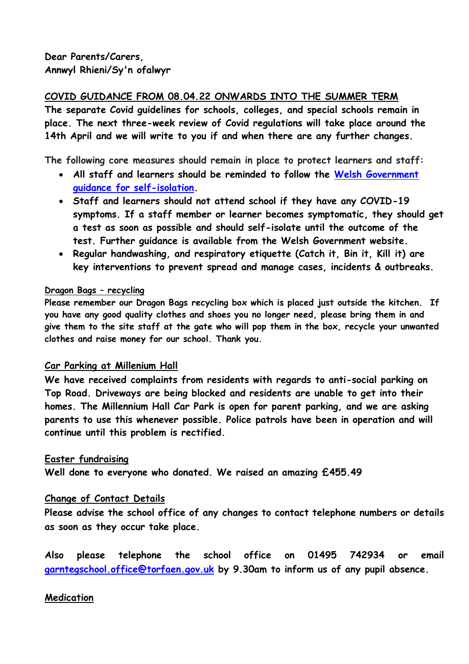## **COVID GUIDANCE FROM 08.04.22 ONWARDS INTO THE SUMMER TERM**

**The separate Covid guidelines for schools, colleges, and special schools remain in place. The next three-week review of Covid regulations will take place around the 14th April and we will write to you if and when there are any further changes.**

**The following core measures should remain in place to protect learners and staff:** 

- **All staff and learners should be reminded to follow the [Welsh Government](https://gov.wales/self-isolation)  [guidance for self-isolation.](https://gov.wales/self-isolation)**
- **Staff and learners should not attend school if they have any COVID-19 symptoms. If a staff member or learner becomes symptomatic, they should get a test as soon as possible and should self-isolate until the outcome of the test. [Further guidance](https://gov.wales/self-isolation) is available from the Welsh Government website.**
- **Regular handwashing, and respiratory etiquette (Catch it, Bin it, Kill it) are key interventions to prevent spread and manage cases, incidents & outbreaks.**

#### **Dragon Bags – recycling**

**Please remember our Dragon Bags recycling box which is placed just outside the kitchen. If you have any good quality clothes and shoes you no longer need, please bring them in and give them to the site staff at the gate who will pop them in the box, recycle your unwanted clothes and raise money for our school. Thank you.**

### **Car Parking at Millenium Hall**

**We have received complaints from residents with regards to anti-social parking on Top Road. Driveways are being blocked and residents are unable to get into their homes. The Millennium Hall Car Park is open for parent parking, and we are asking parents to use this whenever possible. Police patrols have been in operation and will continue until this problem is rectified.**

### **Easter fundraising**

**Well done to everyone who donated. We raised an amazing £455.49** 

### **Change of Contact Details**

**Please advise the school office of any changes to contact telephone numbers or details as soon as they occur take place.** 

**Also please telephone the school office on 01495 742934 or email [garntegschool.office@torfaen.gov.uk](mailto:garntegschool.office@torfaen.gov.uk) by 9.30am to inform us of any pupil absence.**

### **Medication**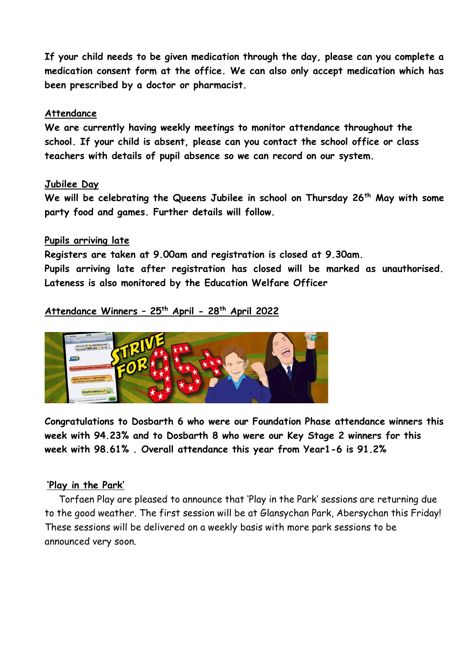**If your child needs to be given medication through the day, please can you complete a medication consent form at the office. We can also only accept medication which has been prescribed by a doctor or pharmacist.**

#### **Attendance**

**We are currently having weekly meetings to monitor attendance throughout the school. If your child is absent, please can you contact the school office or class teachers with details of pupil absence so we can record on our system.**

#### **Jubilee Day**

**We will be celebrating the Queens Jubilee in school on Thursday 26th May with some party food and games. Further details will follow.**

#### **Pupils arriving late**

**Registers are taken at 9.00am and registration is closed at 9.30am.**

**Pupils arriving late after registration has closed will be marked as unauthorised. Lateness is also monitored by the Education Welfare Officer**

# **Attendance Winners – 25th April - 28th April 2022**



**Congratulations to Dosbarth 6 who were our Foundation Phase attendance winners this week with 94.23% and to Dosbarth 8 who were our Key Stage 2 winners for this week with 98.61% . Overall attendance this year from Year1-6 is 91.2%**

### **'Play in the Park'**

 Torfaen Play are pleased to announce that 'Play in the Park' sessions are returning due to the good weather. The first session will be at Glansychan Park, Abersychan this Friday! These sessions will be delivered on a weekly basis with more park sessions to be announced very soon.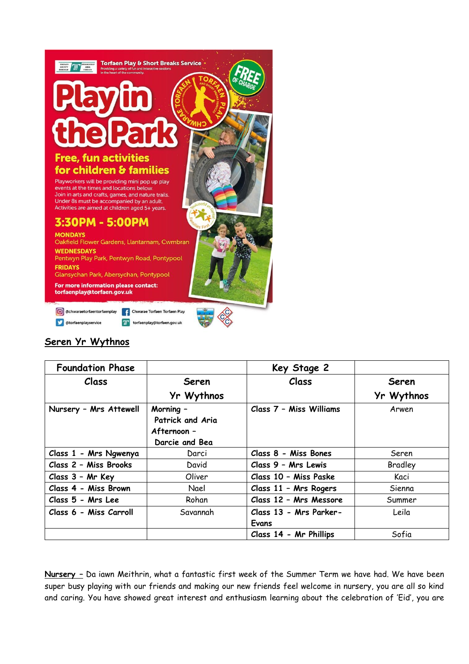

### **Seren Yr Wythnos**

| <b>Foundation Phase</b> |                                                                | Key Stage 2             |            |
|-------------------------|----------------------------------------------------------------|-------------------------|------------|
| Class                   | Seren                                                          | Class                   | Seren      |
|                         | Yr Wythnos                                                     |                         | Yr Wythnos |
| Nursery - Mrs Attewell  | Morning -<br>Patrick and Aria<br>Afternoon -<br>Darcie and Bea | Class 7 - Miss Williams | Arwen      |
| Class 1 - Mrs Ngwenya   | Darci                                                          | Class 8 - Miss Bones    | Seren      |
| Class 2 - Miss Brooks   | David                                                          | Class 9 - Mrs Lewis     | Bradley    |
| Class 3 - Mr Key        | Oliver                                                         | Class 10 - Miss Paske   | Kaci       |
| Class 4 - Miss Brown    | Nael                                                           | Class 11 - Mrs Rogers   | Sienna     |
| Class 5 - Mrs Lee       | Rohan                                                          | Class 12 - Mrs Messore  | Summer     |
| Class 6 - Miss Carroll  | Savannah                                                       | Class 13 - Mrs Parker-  | Leila      |
|                         |                                                                | Evans                   |            |
|                         |                                                                | Class 14 - Mr Phillips  | Sofia      |

**Nursery –** Da iawn Meithrin, what a fantastic first week of the Summer Term we have had. We have been super busy playing with our friends and making our new friends feel welcome in nursery, you are all so kind and caring. You have showed great interest and enthusiasm learning about the celebration of 'Eid', you are